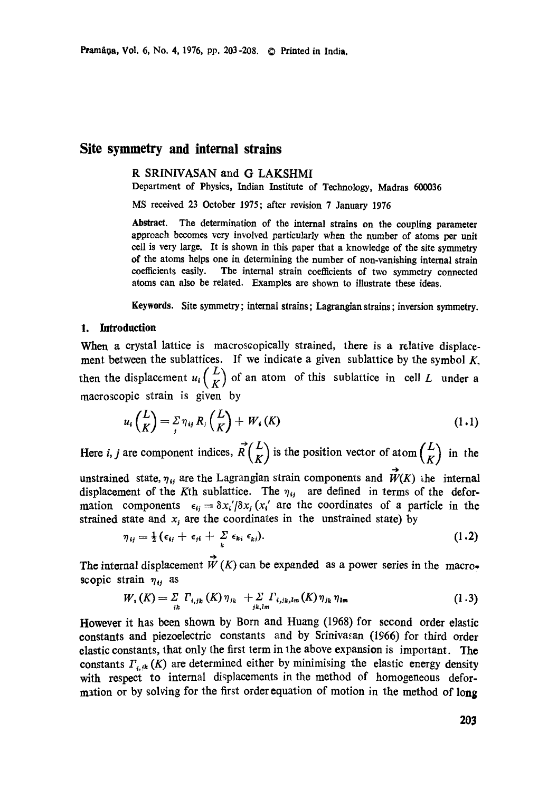# **Site symmetry and internal strains**

# R SRINIVASAN and G LAKSHMI

Department of Physics, Indian Institute of Technology, Madras 600036

MS received 23 October 1975; after revision 7 January 1976

**Abstract.** The determination of the internal strains on the coupling parameter approach becomes very involved particularly when the number of atoms per unit cell is very large. It is shown in this paper that a knowledge of the site symmetry of the atoms helps one in determining the number of non-vanishing internal strain coefficients easily. The imernal strain coefficients of two symmetry connected atoms can also be related. Examples are shown to illustrate these ideas.

Keywords. Site symmetry; internal strains; Lagrangian strains; inversion symmetry.

## I. Introduction

When a crystal lattice is macroscopically strained, there is a relative displacement between the sublattices. If we indicate a given sublattice by the symbol  $K$ . then the displacement  $u_i\begin{pmatrix} L \\ K \end{pmatrix}$  of an atom of this sublattice in cell L under a macroscopic strain is given by

$$
u_i\binom{L}{K}=\frac{1}{2}\eta_{ij}R_j\binom{L}{K}+W_i(K)\tag{1.1}
$$

Here *i, j* are component indices,  $\vec{R} \begin{pmatrix} L \\ K \end{pmatrix}$  is the position vector of atom  $\begin{pmatrix} L \\ K \end{pmatrix}$  in the

unstrained state,  $\eta_{ij}$  are the Lagrangian strain components and  $\vec{W}(K)$  the internal displacement of the Kth sublattice. The  $\eta_{ij}$  are defined in terms of the deformation components  $\epsilon_{ij} = \delta x'_i / \delta x_j (x'_i)$  are the coordinates of a particle in the strained state and  $x_i$  are the coordinates in the unstrained state) by

$$
\eta_{ij} = \frac{1}{2} (\epsilon_{ij} + \epsilon_{ji} + \sum_{k} \epsilon_{ki} \epsilon_{kj}). \qquad (1.2)
$$

The internal displacement  $\overrightarrow{W}(K)$  can be expanded as a power series in the macroscopic strain  $\eta_{ij}$  as

$$
W_{1}(K) = \sum_{ik} \Gamma_{i,jk} (K) \eta_{jk} + \sum_{jk,l,m} \Gamma_{i,jk,l,m} (K) \eta_{jk} \eta_{lm}
$$
 (1.3)

However it has been shown by Born and Huang (1968) for second order elastic constants and piezoelectric constants and by Srinivasan (1966) for third order elastic constants, that only the first term in the above expansion is important. The constants  $\Gamma_{i,k}(K)$  are determined either by minimising the elastic energy density with respect to internal displacements in the method of homogeneous deformation or by solving for the first order equation of motion in the method of long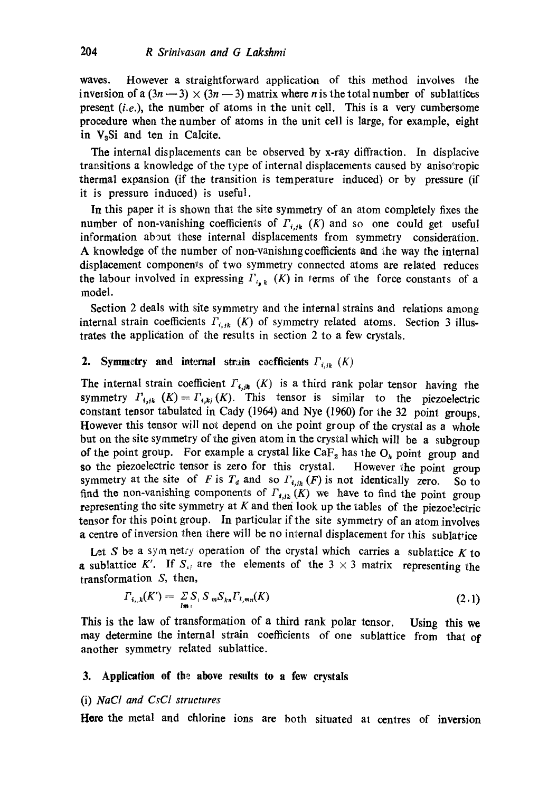waves. However a straightforward application of this method involves the inversion of a  $(3n-3) \times (3n-3)$  matrix where n is the total number of sublattices present *(i.e.),* the number of atoms in the unit cell. This is a very cumbersome procedure when the number of atoms in the unit cell is large, for example, eight in  $V<sub>a</sub>Si$  and ten in Calcite.

The internal displacements can be observed by x-ray diffraction. In displacive transitions a knowledge of the type of internal displacements caused by aniso\*ropic thermal expansion (if the transition is temperature induced) or by pressure (if it is pressure induced) is useful.

In this paper it is shown that the site symmetry of an atom completely fixes the number of non-vanishing coefficients of  $\Gamma_{i,j,k}$  (K) and so one could get useful information about these internal displacements from symmetry consideration. A knowledge of the number of non-vanishing coefficients and the way the internal displacement components of two symmetry connected atoms are related reduces the labour involved in expressing  $\Gamma_{i_{\bullet},k}$  (K) in terms of the force constants of a model.

Section 2 deals with site symmetry and the internal strains and relations among internal strain coefficients  $\Gamma_{i,j,k}$  (K) of symmetry related atoms. Section 3 illustrates the application of the results in section 2 to a few crystals.

# 2. Symmetry and internal strain coefficients  $F_{i,jk}$   $(K)$

The internal strain coefficient  $\Gamma_{4,j,k}$  (K) is a third rank polar tensor having the symmetry  $\Gamma_{i,j,k}$  (K) =  $\Gamma_{i,kj}(K)$ . This tensor is similar to the piezoelectric constant tensor tabulated in Cady (1964) and Nye (1960) for the 32 point groups. However this tensor will not depend on the point group of the crystal as a whole but on the site symmetry of the given atom in the crystal which will be a subgroup of the point group. For example a crystal like  $\text{CaF}_2$  has the  $\text{O}_h$  point group and so the piezoelectric tensor is zero for this crystal. However the point group symmetry at the site of F is  $T_d$  and so  $\Gamma_{i,jk} (F)$  is not identically zero. So to find the non-vanishing components of  $\Gamma_{t,j,k}(K)$  we have to find the point group representing the site symmetry at  $K$  and then look up the tables of the piezoe!ectric tensor for this point group. In particular if the site symmetry of an atom involves a centre of inversion then there will be no internal displacement for this sublattice

Let S be a symmetry operation of the crystal which carries a sublattice K to a sublattice K'. If  $S_{ij}$  are the elements of the  $3 \times 3$  matrix representing the transformation S, then,

$$
\Gamma_{i,j,k}(K') = \sum_{lm} S_{ij} S_m S_{kn} \Gamma_{l,mn}(K) \tag{2.1}
$$

**This** is the law of transformation of a third rank polar tensor. may determine the internal strain coefficients of one sublattice from that of another symmetry related sublattice. **Using this we** 

## **3. Application of the above results to a few crystals**

# (i) *NaCl and CsCI structures*

Here the metal and chlorine ions are both situated at centres of inversion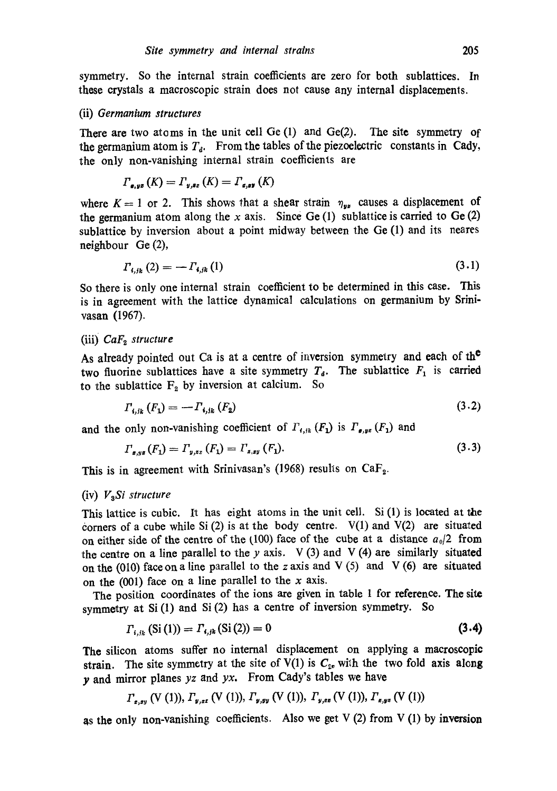symmetry. So the internal strain coefficients are zero for both sublattices. In these crystals a macroscopic strain does not cause any internal displacemenls.

#### (ii) *Germanium structures*

There are two atoms in the unit cell  $Ge(1)$  and  $Ge(2)$ . The site symmetry of the germanium atom is  $T_a$ . From the tables of the piezoelectric constants in Cady, the only non-vanishing internal strain coefficients are

$$
\Gamma_{\mathbf{g},\mathbf{y}\mathbf{s}}\left(K\right)=\Gamma_{\mathbf{y},\mathbf{s}\mathbf{z}}\left(K\right)=\Gamma_{\mathbf{g},\mathbf{s}\mathbf{y}}\left(K\right)
$$

where  $K = 1$  or 2. This shows that a shear strain  $\eta_{yy}$  causes a displacement of the germanium atom along the x axis. Since Ge  $(1)$  sublattice is carried to Ge  $(2)$ sublattice by inversion about a point midway between the Ge (1) and its neares neighbour Ge (2),

$$
T_{i,j_k}(2) = -F_{i,j_k}(1) \tag{3.1}
$$

So there is only one internal strain coefficient to be determined in this case. This is in agreement with the lattice dynamical calculations on germanium by Srinivasan (1967).

## (iii)  $CaF<sub>2</sub>$  structure

As already pointed out Ca is at a centre of inversion symmetry and each of the two fluorine sublattices have a site symmetry  $T<sub>d</sub>$ . The sublattice  $F<sub>1</sub>$  is carried to the sublattice  $F_2$  by inversion at calcium. So

$$
\Gamma_{i,j_k}(F_1) = -\Gamma_{i,j_k}(F_2) \tag{3.2}
$$

and the only non-vanishing coefficient of  $\Gamma_{t,ik}$  ( $F_1$ ) is  $\Gamma_{e,ye}$  ( $F_1$ ) and

$$
\Gamma_{\mathbf{z},\mathbf{y}\mathbf{z}}(F_1) = \Gamma_{\mathbf{y},\mathbf{z}\mathbf{z}}(F_1) = \Gamma_{\mathbf{z},\mathbf{z}\mathbf{y}}(F_1). \tag{3.3}
$$

This is in agreement with Srinivasan's (1968) results on  $CaF<sub>2</sub>$ .

## (iv) *V3Si structure*

This lattice is cubic. It has eight atoms in the unit cell. Si  $(1)$  is located at the corners of a cube while Si (2) is at the body centre.  $V(1)$  and  $V(2)$  are situated on either side of the centre of the  $(100)$  face of the cube at a distance  $a_0/2$  from the centre on a line parallel to the y axis.  $V(3)$  and  $V(4)$  are similarly situated on the (010) face on a line parallel to the z axis and V (5) and V (6) are situated on the  $(001)$  face on a line parallel to the x axis.

The position coordinates of the ions are given in table 1 for reference. The site symmetry at Si (1) and Si (2) has a centre of inversion symmetry. So

$$
\Gamma_{i,j_k}(\text{Si (1)}) = \Gamma_{i,j_k}(\text{Si (2)}) = 0 \tag{3.4}
$$

The silicon atoms suffer no internal displacement on applying a macroscopic strain. The site symmetry at the site of V(1) is  $C_{zv}$  with the two fold axis along y and mirror planes *yz* and *yx.* From Cady's tables we have

$$
\Gamma_{x,xy}
$$
 (V (1)),  $\Gamma_{y,zz}$  (V (1)),  $\Gamma_{y,yy}$  (V (1)),  $\Gamma_{y,zz}$  (V (1)),  $\Gamma_{z,yz}$  (V (1))

as the only non-vanishing coefficients. Also we get V (2) from V (1) by inversion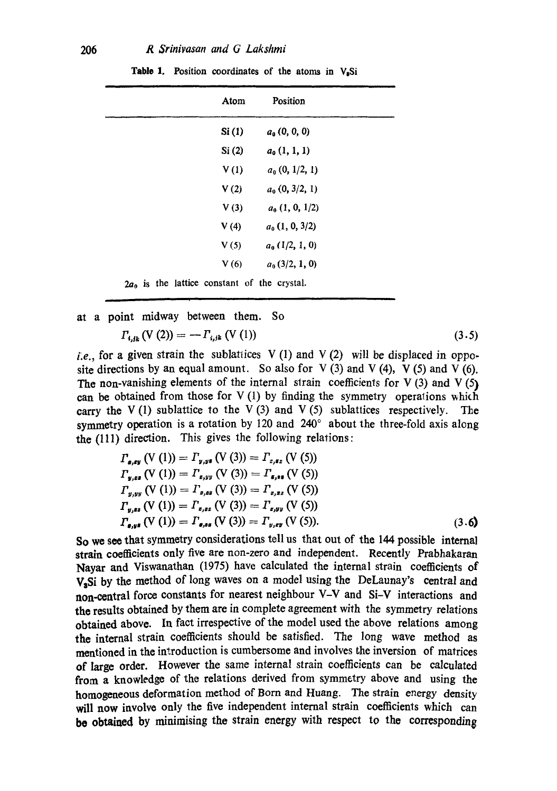| Atom  | Position          |
|-------|-------------------|
| Si(1) | $a_0$ (0, 0, 0)   |
| Si(2) | $a_0$ $(1, 1, 1)$ |
| V(1)  | $a_0$ (0, 1/2, 1) |
| V(2)  | $a_0$ (0, 3/2, 1) |
| V(3)  | $a_0$ (1, 0, 1/2) |
| V(4)  | $a_0$ (1, 0, 3/2) |
| V(5)  | $a_0$ (1/2, 1, 0) |
| V(6)  | $a0$ (3/2, 1, 0)  |

Table 1. Position coordinates of the atoms in V<sub>2</sub>Si

 $2a_0$  is the lattice constant of the crystal.

at a point midway between them. So

$$
\Gamma_{i,jk} \left( V \left( 2 \right) \right) = -\Gamma_{i,jk} \left( V \left( 1 \right) \right) \tag{3.5}
$$

*i.e.*, for a given strain the sublattices V(1) and V(2) will be displaced in opposite directions by an equal amount. So also for  $V(3)$  and  $V(4)$ ,  $V(5)$  and  $V(6)$ . The non-vanishing elements of the internal strain coefficients for V  $(3)$  and V  $(5)$ can be obtained from those for  $V(1)$  by finding the symmetry operations which carry the  $V(1)$  sublattice to the  $V(3)$  and  $V(5)$  sublattices respectively. The symmetry operation is a rotation by 120 and  $240^{\circ}$  about the three-fold axis along the (111) direction. This gives the following relations:

$$
\Gamma_{\mathbf{g},\mathbf{g}\mathbf{y}}\left(\mathbf{V}\left(1\right)\right) = \Gamma_{\mathbf{y},\mathbf{y}\mathbf{s}}\left(\mathbf{V}\left(3\right)\right) = \Gamma_{\mathbf{z},\mathbf{s}\mathbf{z}}\left(\mathbf{V}\left(5\right)\right)
$$
\n
$$
\Gamma_{\mathbf{y},\mathbf{z}\mathbf{s}}\left(\mathbf{V}\left(1\right)\right) = \Gamma_{\mathbf{z},\mathbf{y}\mathbf{y}}\left(\mathbf{V}\left(3\right)\right) = \Gamma_{\mathbf{z},\mathbf{s}\mathbf{z}}\left(\mathbf{V}\left(5\right)\right)
$$
\n
$$
\Gamma_{\mathbf{y},\mathbf{y}\mathbf{s}}\left(\mathbf{V}\left(1\right)\right) = \Gamma_{\mathbf{z},\mathbf{s}\mathbf{z}}\left(\mathbf{V}\left(3\right)\right) = \Gamma_{\mathbf{z},\mathbf{y}\mathbf{z}}\left(\mathbf{V}\left(5\right)\right)
$$
\n
$$
\Gamma_{\mathbf{y},\mathbf{s}\mathbf{s}}\left(\mathbf{V}\left(1\right)\right) = \Gamma_{\mathbf{z},\mathbf{s}\mathbf{z}}\left(\mathbf{V}\left(3\right)\right) = \Gamma_{\mathbf{z},\mathbf{y}\mathbf{y}}\left(\mathbf{V}\left(5\right)\right)
$$
\n
$$
\Gamma_{\mathbf{z},\mathbf{y}\mathbf{s}}\left(\mathbf{V}\left(1\right)\right) = \Gamma_{\mathbf{z},\mathbf{s}\mathbf{z}}\left(\mathbf{V}\left(3\right)\right) = \Gamma_{\mathbf{y},\mathbf{z}\mathbf{y}}\left(\mathbf{V}\left(5\right)\right).
$$
\n(3.6)

So we see that symmetry considerations tell us that out of the 144 possible internal strain coefficients only five are non-zero and independent. Recently Prabhakaran Nayar and Viswanathan (1975) have calculated the internal strain coefficients of V<sub>a</sub>Si by the method of long waves on a model using the DeLaunay's central and non-central force constants for nearest neighbour V-V and Si-V interactions and the results obtained by them are in complete agreement with the symmetry relations obtained above. In fact irrespective of the model used the above relations among the internal strain coefficients should be satisfied. The long wave method as mentioned in the introduction is cumbersome and involves the inversion of matrices of large order. However the same internal strain coefficients can be calculated from a knowledge of the relations derived from symmetry above and using the homogeneous deformation method of Born and Huang. The strain energy density will now involve only the five independent internal strain coefficients which can be obtained by minimising the strain energy with respect to the corresponding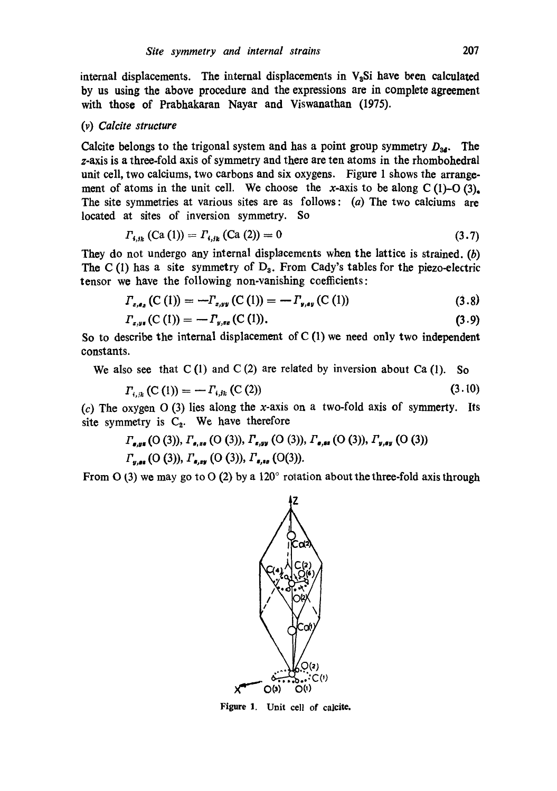internal displacements. The internal displacements in  $V<sub>a</sub>Si$  have been calculated by us using the above procedure and the expressions are in complete agreement with those of Prabhakaran Nayar and Viswanathan (1975).

#### *(v) Calcite structure*

Calcite belongs to the trigonal system and has a point group symmetry  $D_{34}$ . The z-axis is a three-fold axis of symmetry and there are ten atoms in the rhombohedral unit cell, two calciums, two carbons and six oxygens. Figure 1 shows the arrangement of atoms in the unit cell. We choose the x-axis to be along  $C(1)-O(3)$ . The site symmetries at various sites are as follows: (a) The two calciums are located at sites of inversion symmetry. So

$$
\Gamma_{i,j_k}(\text{Ca (1)}) = \Gamma_{i,j_k}(\text{Ca (2)}) = 0 \tag{3.7}
$$

They do not undergo any internal displacements when the lattice is strained. (b) The C(1) has a site symmetry of  $D_3$ . From Cady's tables for the piezo-electric tensor we have the following non-vanishing coefficients:

$$
\Gamma_{z,\epsilon_2}(\mathcal{C}(1)) = -\Gamma_{z,yy}(\mathcal{C}(1)) = -\Gamma_{y,\epsilon_2}(\mathcal{C}(1))
$$
\n(3.8)

$$
\Gamma_{x,y*}(C(1)) = -\Gamma_{y,xx}(C(1)). \tag{3.9}
$$

So to describe the internal displacement of  $C(1)$  we need only two independent constants.

We also see that  $C(1)$  and  $C(2)$  are related by inversion about  $Ca(1)$ . So

$$
\Gamma_{i,n}(\mathcal{C}(1)) = -\Gamma_{i,j,k}(\mathcal{C}(2))\tag{3.10}
$$

(c) The oxygen  $O(3)$  lies along the x-axis on a two-fold axis of symmerty. Its site symmetry is  $C_2$ . We have therefore

$$
\Gamma_{\mathbf{g},\mathbf{g}\mathbf{s}}\left(\mathcal{O}\left(3\right)\right),\Gamma_{\mathbf{g},\mathbf{g}\mathbf{s}}\left(\mathcal{O}\left(3\right)\right),\Gamma_{\mathbf{g},\mathbf{g}\mathbf{y}}\left(\mathcal{O}\left(3\right)\right),\Gamma_{\mathbf{g},\mathbf{g}\mathbf{s}}\left(\mathcal{O}\left(3\right)\right),\Gamma_{\mathbf{y},\mathbf{g}\mathbf{y}}\left(\mathcal{O}\left(3\right)\right)
$$
\n
$$
\Gamma_{\mathbf{y},\mathbf{g}\mathbf{s}}\left(\mathcal{O}\left(3\right)\right),\Gamma_{\mathbf{g},\mathbf{g}\mathbf{y}}\left(\mathcal{O}\left(3\right)\right),\Gamma_{\mathbf{g},\mathbf{g}\mathbf{s}}\left(\mathcal{O}\left(3\right)\right).
$$

From O (3) we may go to O (2) by a  $120^{\circ}$  rotation about the three-fold axis through



Figure I. Unit cell of calcite.